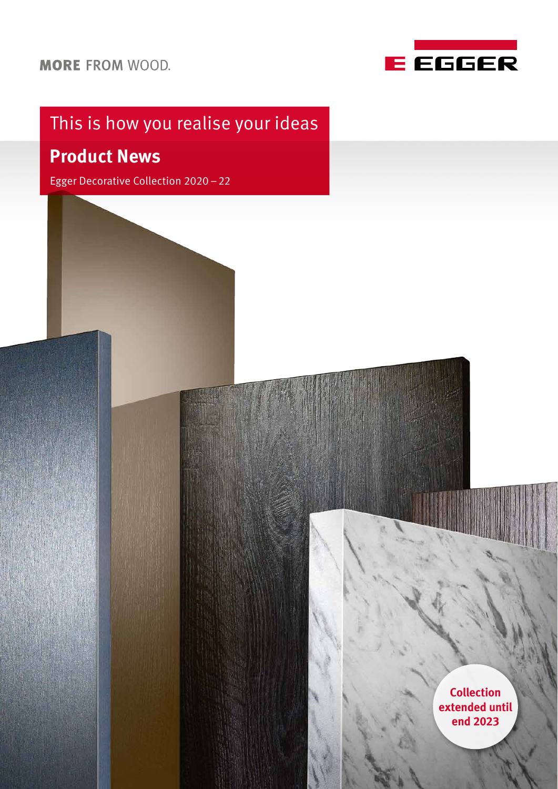

# This is how you realise your ideas

### **Product News**

Egger Decorative Collection 2020–22

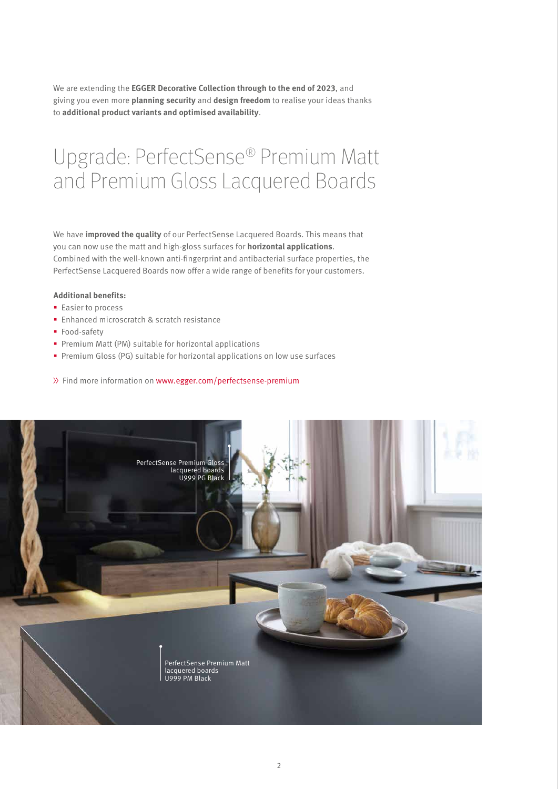We are extending the **EGGER Decorative Collection through to the end of 2023**, and giving you even more **planning security** and **design freedom** to realise your ideas thanks to **additional product variants and optimised availability**.

## Upgrade: PerfectSense® Premium Matt and Premium Gloss Lacquered Boards

We have **improved the quality** of our PerfectSense Lacquered Boards. This means that you can now use the matt and high-gloss surfaces for **horizontal applications**. Combined with the well-known anti-fingerprint and antibacterial surface properties, the PerfectSense Lacquered Boards now offer a wide range of benefits for your customers.

#### **Additional benefits:**

- **Easier to process**
- **Enhanced microscratch & scratch resistance**
- **Food-safety**
- **Premium Matt (PM) suitable for horizontal applications**
- Premium Gloss (PG) suitable for horizontal applications on low use surfaces
- >> Find more information on [www.egger.com/perfectsense-premium](http://www.egger.com/perfectsense-premium)

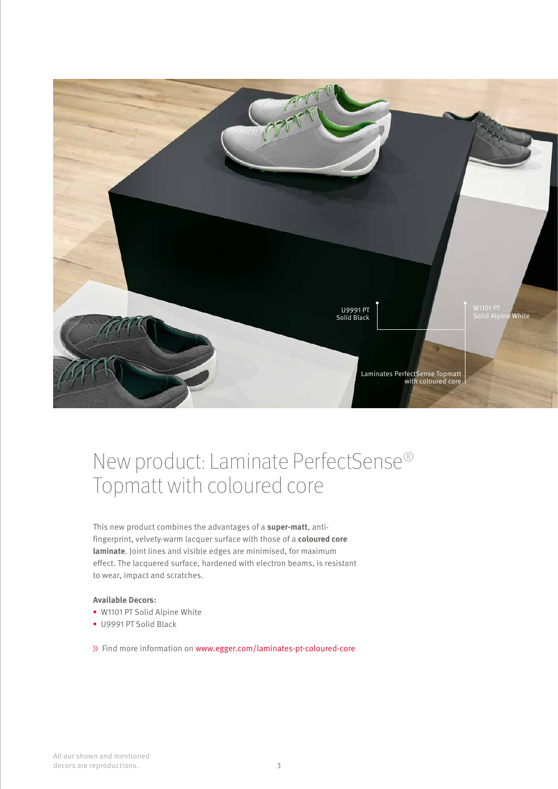

## New product: Laminate PerfectSense® Topmatt with coloured core

This new product combines the advantages of a **super-matt**, antifingerprint, velvety-warm lacquer surface with those of a **coloured core laminate**. Joint lines and visible edges are minimised, for maximum effect. The lacquered surface, hardened with electron beams, is resistant to wear, impact and scratches.

#### **Available Decors:**

- W1101 PT Solid Alpine White
- U9991 PT Solid Black

[Find more information on www.egger.com/](www.egger.com/laminates-pt-coloured-core)laminates-pt-coloured-core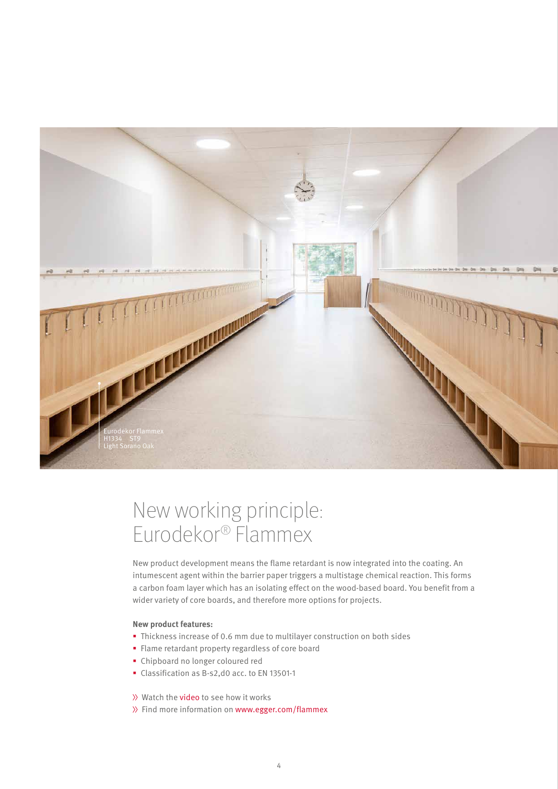

## New working principle: Eurodekor® Flammex

New product development means the flame retardant is now integrated into the coating. An intumescent agent within the barrier paper triggers a multistage chemical reaction. This forms a carbon foam layer which has an isolating effect on the wood-based board. You benefit from a wider variety of core boards, and therefore more options for projects.

#### **New product features:**

- Thickness increase of 0.6 mm due to multilayer construction on both sides
- Flame retardant property regardless of core board
- Chipboard no longer coloured red
- Classification as B-s2,d0 acc. to EN 13501-1

>> Watch the [video](https://youtu.be/tWPCx-ET3rM) to see how it works

 $\gg$  Find more information on [www.egger.com/f](http://www.egger.com/flammex)lammex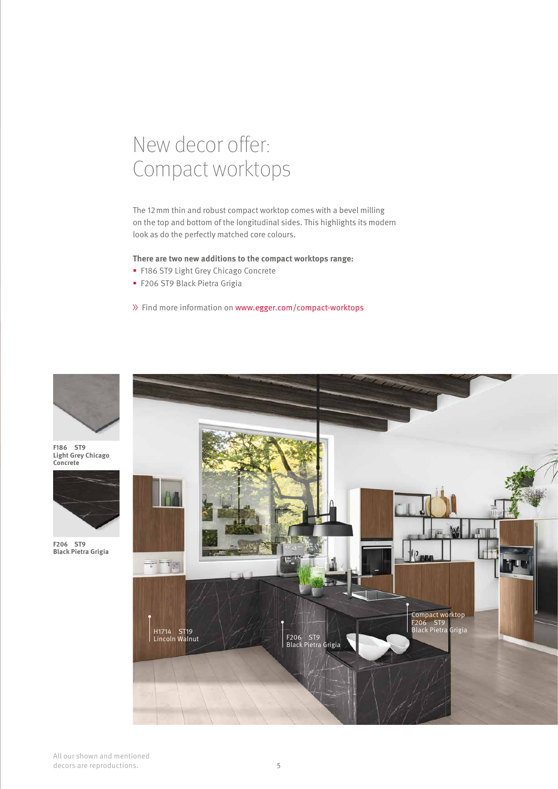### New decor offer: Compact worktops

The 12mm thin and robust compact worktop comes with a bevel milling on the top and bottom of the longitudinal sides. This highlights its modern look as do the perfectly matched core colours.

#### **There are two new additions to the compact worktops range:**

- **F186 ST9 Light Grey Chicago Concrete**
- F206 ST9 Black Pietra Grigia

>> Find more information on [www.egger.com/compact-worktops](http://www.egger.com/compact-worktops)



**F186 ST9 Light Grey Chicago Concrete**



**F206 ST9 Black Pietra Grigia** 

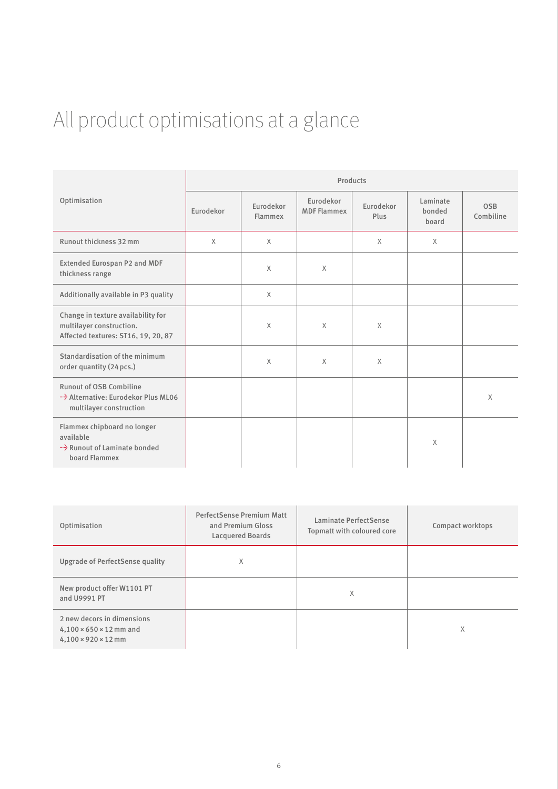# All product optimisations at a glance

|                                                                                                       | Products  |                      |                                 |                   |                             |                         |  |
|-------------------------------------------------------------------------------------------------------|-----------|----------------------|---------------------------------|-------------------|-----------------------------|-------------------------|--|
| Optimisation                                                                                          | Eurodekor | Eurodekor<br>Flammex | Eurodekor<br><b>MDF Flammex</b> | Eurodekor<br>Plus | Laminate<br>bonded<br>board | <b>OSB</b><br>Combiline |  |
| Runout thickness 32 mm                                                                                | $\times$  | $\times$             |                                 | $\times$          | $\times$                    |                         |  |
| <b>Extended Eurospan P2 and MDF</b><br>thickness range                                                |           | $\times$             | $\times$                        |                   |                             |                         |  |
| Additionally available in P3 quality                                                                  |           | $\times$             |                                 |                   |                             |                         |  |
| Change in texture availability for<br>multilayer construction.<br>Affected textures: ST16, 19, 20, 87 |           | $\times$             | $\times$                        | $\times$          |                             |                         |  |
| Standardisation of the minimum<br>order quantity (24 pcs.)                                            |           | $\times$             | $\times$                        | $\times$          |                             |                         |  |
| <b>Runout of OSB Combiline</b><br>Alternative: Eurodekor Plus ML06<br>multilayer construction         |           |                      |                                 |                   |                             | $\times$                |  |
| Flammex chipboard no longer<br>available<br>Runout of Laminate bonded<br>board Flammex                |           |                      |                                 |                   | X                           |                         |  |

| Optimisation                                                                                         | <b>PerfectSense Premium Matt</b><br>and Premium Gloss<br><b>Lacquered Boards</b> | Laminate PerfectSense<br>Topmatt with coloured core | Compact worktops |
|------------------------------------------------------------------------------------------------------|----------------------------------------------------------------------------------|-----------------------------------------------------|------------------|
| Upgrade of PerfectSense quality                                                                      | X                                                                                |                                                     |                  |
| New product offer W1101 PT<br>and U9991 PT                                                           |                                                                                  | X                                                   |                  |
| 2 new decors in dimensions<br>$4,100 \times 650 \times 12$ mm and<br>$4,100 \times 920 \times 12$ mm |                                                                                  |                                                     | X                |